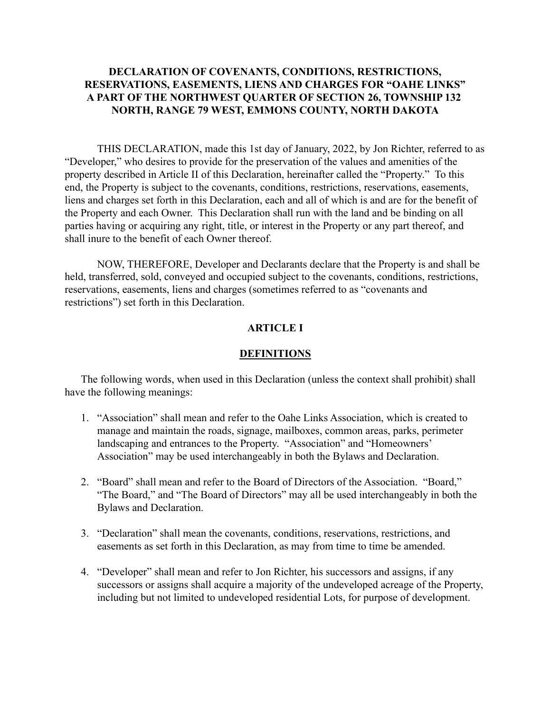## **DECLARATION OF COVENANTS, CONDITIONS, RESTRICTIONS, RESERVATIONS, EASEMENTS, LIENS AND CHARGES FOR "OAHE LINKS" A PART OF THE NORTHWEST QUARTER OF SECTION 26, TOWNSHIP 132 NORTH, RANGE 79 WEST, EMMONS COUNTY, NORTH DAKOTA**

THIS DECLARATION, made this 1st day of January, 2022, by Jon Richter, referred to as "Developer," who desires to provide for the preservation of the values and amenities of the property described in Article II of this Declaration, hereinafter called the "Property." To this end, the Property is subject to the covenants, conditions, restrictions, reservations, easements, liens and charges set forth in this Declaration, each and all of which is and are for the benefit of the Property and each Owner. This Declaration shall run with the land and be binding on all parties having or acquiring any right, title, or interest in the Property or any part thereof, and shall inure to the benefit of each Owner thereof.

NOW, THEREFORE, Developer and Declarants declare that the Property is and shall be held, transferred, sold, conveyed and occupied subject to the covenants, conditions, restrictions, reservations, easements, liens and charges (sometimes referred to as "covenants and restrictions") set forth in this Declaration.

### **ARTICLE I**

#### **DEFINITIONS**

The following words, when used in this Declaration (unless the context shall prohibit) shall have the following meanings:

- 1. "Association" shall mean and refer to the Oahe Links Association, which is created to manage and maintain the roads, signage, mailboxes, common areas, parks, perimeter landscaping and entrances to the Property. "Association" and "Homeowners' Association" may be used interchangeably in both the Bylaws and Declaration.
- 2. "Board" shall mean and refer to the Board of Directors of the Association. "Board," "The Board," and "The Board of Directors" may all be used interchangeably in both the Bylaws and Declaration.
- 3. "Declaration" shall mean the covenants, conditions, reservations, restrictions, and easements as set forth in this Declaration, as may from time to time be amended.
- 4. "Developer" shall mean and refer to Jon Richter, his successors and assigns, if any successors or assigns shall acquire a majority of the undeveloped acreage of the Property, including but not limited to undeveloped residential Lots, for purpose of development.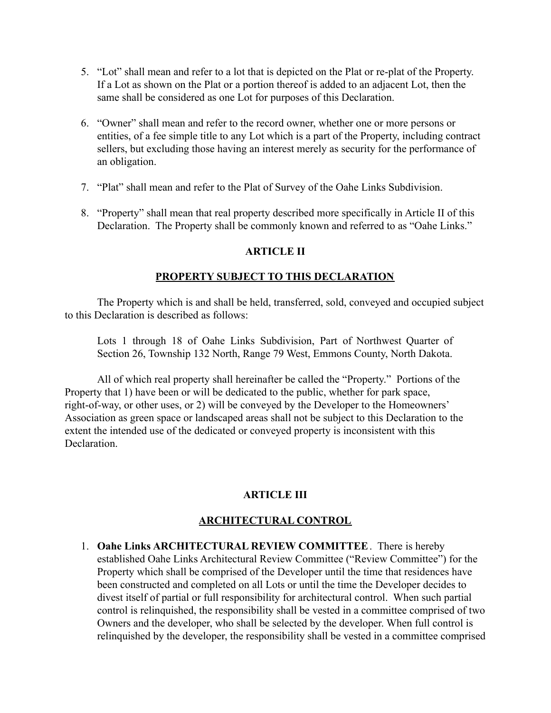- 5. "Lot" shall mean and refer to a lot that is depicted on the Plat or re-plat of the Property. If a Lot as shown on the Plat or a portion thereof is added to an adjacent Lot, then the same shall be considered as one Lot for purposes of this Declaration.
- 6. "Owner" shall mean and refer to the record owner, whether one or more persons or entities, of a fee simple title to any Lot which is a part of the Property, including contract sellers, but excluding those having an interest merely as security for the performance of an obligation.
- 7. "Plat" shall mean and refer to the Plat of Survey of the Oahe Links Subdivision.
- 8. "Property" shall mean that real property described more specifically in Article II of this Declaration. The Property shall be commonly known and referred to as "Oahe Links."

### **ARTICLE II**

## **PROPERTY SUBJECT TO THIS DECLARATION**

The Property which is and shall be held, transferred, sold, conveyed and occupied subject to this Declaration is described as follows:

Lots 1 through 18 of Oahe Links Subdivision, Part of Northwest Quarter of Section 26, Township 132 North, Range 79 West, Emmons County, North Dakota.

All of which real property shall hereinafter be called the "Property." Portions of the Property that 1) have been or will be dedicated to the public, whether for park space, right-of-way, or other uses, or 2) will be conveyed by the Developer to the Homeowners' Association as green space or landscaped areas shall not be subject to this Declaration to the extent the intended use of the dedicated or conveyed property is inconsistent with this **Declaration** 

## **ARTICLE III**

## **ARCHITECTURAL CONTROL**

1. **Oahe Links ARCHITECTURAL REVIEW COMMITTEE**. There is hereby established Oahe Links Architectural Review Committee ("Review Committee") for the Property which shall be comprised of the Developer until the time that residences have been constructed and completed on all Lots or until the time the Developer decides to divest itself of partial or full responsibility for architectural control. When such partial control is relinquished, the responsibility shall be vested in a committee comprised of two Owners and the developer, who shall be selected by the developer. When full control is relinquished by the developer, the responsibility shall be vested in a committee comprised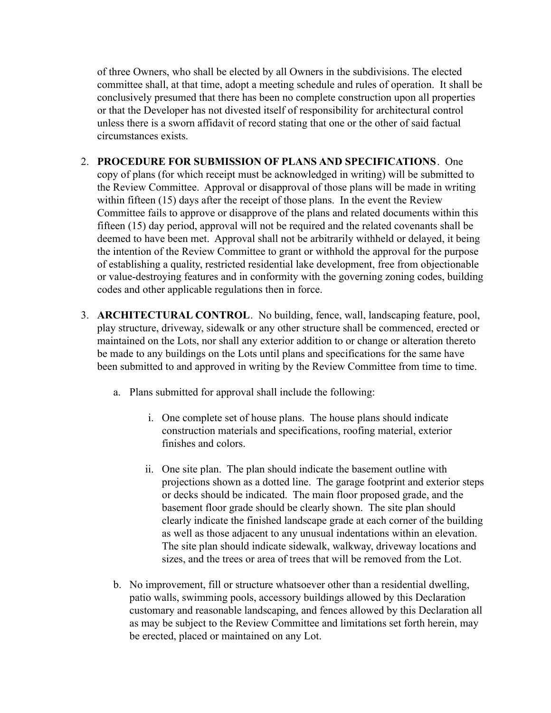of three Owners, who shall be elected by all Owners in the subdivisions. The elected committee shall, at that time, adopt a meeting schedule and rules of operation. It shall be conclusively presumed that there has been no complete construction upon all properties or that the Developer has not divested itself of responsibility for architectural control unless there is a sworn affidavit of record stating that one or the other of said factual circumstances exists.

- 2. **PROCEDURE FOR SUBMISSION OF PLANS AND SPECIFICATIONS**. One copy of plans (for which receipt must be acknowledged in writing) will be submitted to the Review Committee. Approval or disapproval of those plans will be made in writing within fifteen (15) days after the receipt of those plans. In the event the Review Committee fails to approve or disapprove of the plans and related documents within this fifteen (15) day period, approval will not be required and the related covenants shall be deemed to have been met. Approval shall not be arbitrarily withheld or delayed, it being the intention of the Review Committee to grant or withhold the approval for the purpose of establishing a quality, restricted residential lake development, free from objectionable or value-destroying features and in conformity with the governing zoning codes, building codes and other applicable regulations then in force.
- 3. **ARCHITECTURAL CONTROL**. No building, fence, wall, landscaping feature, pool, play structure, driveway, sidewalk or any other structure shall be commenced, erected or maintained on the Lots, nor shall any exterior addition to or change or alteration thereto be made to any buildings on the Lots until plans and specifications for the same have been submitted to and approved in writing by the Review Committee from time to time.
	- a. Plans submitted for approval shall include the following:
		- i. One complete set of house plans. The house plans should indicate construction materials and specifications, roofing material, exterior finishes and colors.
		- ii. One site plan. The plan should indicate the basement outline with projections shown as a dotted line. The garage footprint and exterior steps or decks should be indicated. The main floor proposed grade, and the basement floor grade should be clearly shown. The site plan should clearly indicate the finished landscape grade at each corner of the building as well as those adjacent to any unusual indentations within an elevation. The site plan should indicate sidewalk, walkway, driveway locations and sizes, and the trees or area of trees that will be removed from the Lot.
	- b. No improvement, fill or structure whatsoever other than a residential dwelling, patio walls, swimming pools, accessory buildings allowed by this Declaration customary and reasonable landscaping, and fences allowed by this Declaration all as may be subject to the Review Committee and limitations set forth herein, may be erected, placed or maintained on any Lot.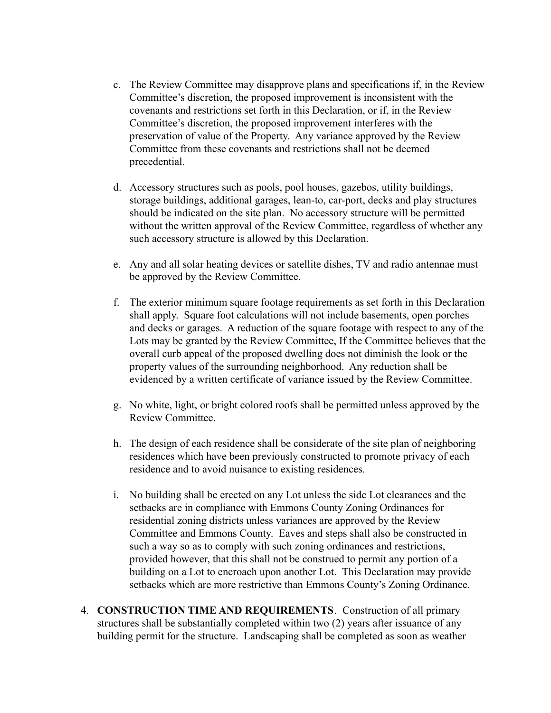- c. The Review Committee may disapprove plans and specifications if, in the Review Committee's discretion, the proposed improvement is inconsistent with the covenants and restrictions set forth in this Declaration, or if, in the Review Committee's discretion, the proposed improvement interferes with the preservation of value of the Property. Any variance approved by the Review Committee from these covenants and restrictions shall not be deemed precedential.
- d. Accessory structures such as pools, pool houses, gazebos, utility buildings, storage buildings, additional garages, lean-to, car-port, decks and play structures should be indicated on the site plan. No accessory structure will be permitted without the written approval of the Review Committee, regardless of whether any such accessory structure is allowed by this Declaration.
- e. Any and all solar heating devices or satellite dishes, TV and radio antennae must be approved by the Review Committee.
- f. The exterior minimum square footage requirements as set forth in this Declaration shall apply. Square foot calculations will not include basements, open porches and decks or garages. A reduction of the square footage with respect to any of the Lots may be granted by the Review Committee, If the Committee believes that the overall curb appeal of the proposed dwelling does not diminish the look or the property values of the surrounding neighborhood. Any reduction shall be evidenced by a written certificate of variance issued by the Review Committee.
- g. No white, light, or bright colored roofs shall be permitted unless approved by the Review Committee.
- h. The design of each residence shall be considerate of the site plan of neighboring residences which have been previously constructed to promote privacy of each residence and to avoid nuisance to existing residences.
- i. No building shall be erected on any Lot unless the side Lot clearances and the setbacks are in compliance with Emmons County Zoning Ordinances for residential zoning districts unless variances are approved by the Review Committee and Emmons County. Eaves and steps shall also be constructed in such a way so as to comply with such zoning ordinances and restrictions, provided however, that this shall not be construed to permit any portion of a building on a Lot to encroach upon another Lot. This Declaration may provide setbacks which are more restrictive than Emmons County's Zoning Ordinance.
- 4. **CONSTRUCTION TIME AND REQUIREMENTS**. Construction of all primary structures shall be substantially completed within two (2) years after issuance of any building permit for the structure. Landscaping shall be completed as soon as weather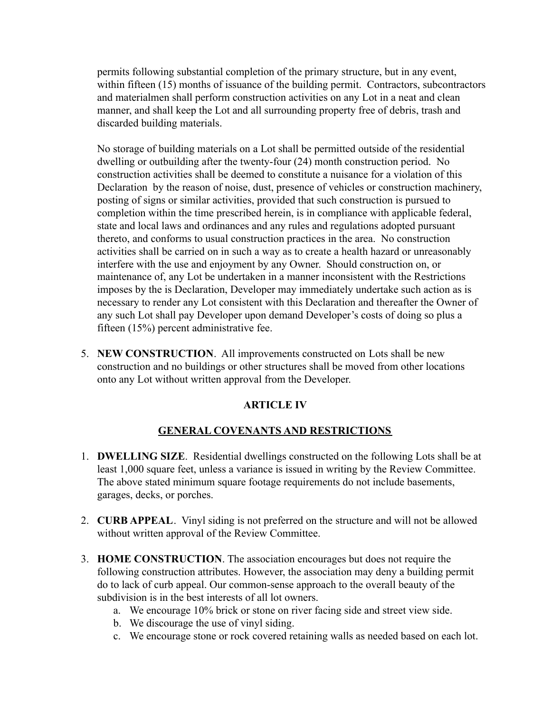permits following substantial completion of the primary structure, but in any event, within fifteen (15) months of issuance of the building permit. Contractors, subcontractors and materialmen shall perform construction activities on any Lot in a neat and clean manner, and shall keep the Lot and all surrounding property free of debris, trash and discarded building materials.

No storage of building materials on a Lot shall be permitted outside of the residential dwelling or outbuilding after the twenty-four (24) month construction period. No construction activities shall be deemed to constitute a nuisance for a violation of this Declaration by the reason of noise, dust, presence of vehicles or construction machinery, posting of signs or similar activities, provided that such construction is pursued to completion within the time prescribed herein, is in compliance with applicable federal, state and local laws and ordinances and any rules and regulations adopted pursuant thereto, and conforms to usual construction practices in the area. No construction activities shall be carried on in such a way as to create a health hazard or unreasonably interfere with the use and enjoyment by any Owner. Should construction on, or maintenance of, any Lot be undertaken in a manner inconsistent with the Restrictions imposes by the is Declaration, Developer may immediately undertake such action as is necessary to render any Lot consistent with this Declaration and thereafter the Owner of any such Lot shall pay Developer upon demand Developer's costs of doing so plus a fifteen (15%) percent administrative fee.

5. **NEW CONSTRUCTION**. All improvements constructed on Lots shall be new construction and no buildings or other structures shall be moved from other locations onto any Lot without written approval from the Developer.

# **ARTICLE IV**

## **GENERAL COVENANTS AND RESTRICTIONS**

- 1. **DWELLING SIZE**. Residential dwellings constructed on the following Lots shall be at least 1,000 square feet, unless a variance is issued in writing by the Review Committee. The above stated minimum square footage requirements do not include basements, garages, decks, or porches.
- 2. **CURB APPEAL**. Vinyl siding is not preferred on the structure and will not be allowed without written approval of the Review Committee.
- 3. **HOME CONSTRUCTION**. The association encourages but does not require the following construction attributes. However, the association may deny a building permit do to lack of curb appeal. Our common-sense approach to the overall beauty of the subdivision is in the best interests of all lot owners.
	- a. We encourage 10% brick or stone on river facing side and street view side.
	- b. We discourage the use of vinyl siding.
	- c. We encourage stone or rock covered retaining walls as needed based on each lot.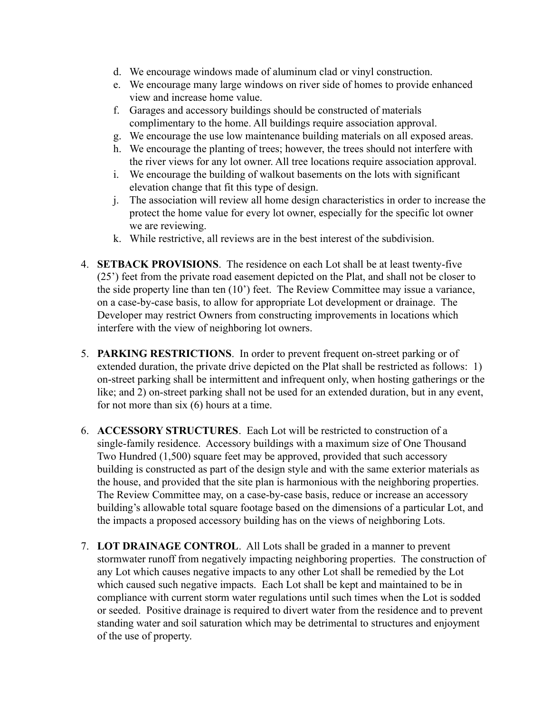- d. We encourage windows made of aluminum clad or vinyl construction.
- e. We encourage many large windows on river side of homes to provide enhanced view and increase home value.
- f. Garages and accessory buildings should be constructed of materials complimentary to the home. All buildings require association approval.
- g. We encourage the use low maintenance building materials on all exposed areas.
- h. We encourage the planting of trees; however, the trees should not interfere with the river views for any lot owner. All tree locations require association approval.
- i. We encourage the building of walkout basements on the lots with significant elevation change that fit this type of design.
- j. The association will review all home design characteristics in order to increase the protect the home value for every lot owner, especially for the specific lot owner we are reviewing.
- k. While restrictive, all reviews are in the best interest of the subdivision.
- 4. **SETBACK PROVISIONS**. The residence on each Lot shall be at least twenty-five (25') feet from the private road easement depicted on the Plat, and shall not be closer to the side property line than ten (10') feet. The Review Committee may issue a variance, on a case-by-case basis, to allow for appropriate Lot development or drainage. The Developer may restrict Owners from constructing improvements in locations which interfere with the view of neighboring lot owners.
- 5. **PARKING RESTRICTIONS**. In order to prevent frequent on-street parking or of extended duration, the private drive depicted on the Plat shall be restricted as follows: 1) on-street parking shall be intermittent and infrequent only, when hosting gatherings or the like; and 2) on-street parking shall not be used for an extended duration, but in any event, for not more than six (6) hours at a time.
- 6. **ACCESSORY STRUCTURES**. Each Lot will be restricted to construction of a single-family residence. Accessory buildings with a maximum size of One Thousand Two Hundred (1,500) square feet may be approved, provided that such accessory building is constructed as part of the design style and with the same exterior materials as the house, and provided that the site plan is harmonious with the neighboring properties. The Review Committee may, on a case-by-case basis, reduce or increase an accessory building's allowable total square footage based on the dimensions of a particular Lot, and the impacts a proposed accessory building has on the views of neighboring Lots.
- 7. **LOT DRAINAGE CONTROL**. All Lots shall be graded in a manner to prevent stormwater runoff from negatively impacting neighboring properties. The construction of any Lot which causes negative impacts to any other Lot shall be remedied by the Lot which caused such negative impacts. Each Lot shall be kept and maintained to be in compliance with current storm water regulations until such times when the Lot is sodded or seeded. Positive drainage is required to divert water from the residence and to prevent standing water and soil saturation which may be detrimental to structures and enjoyment of the use of property.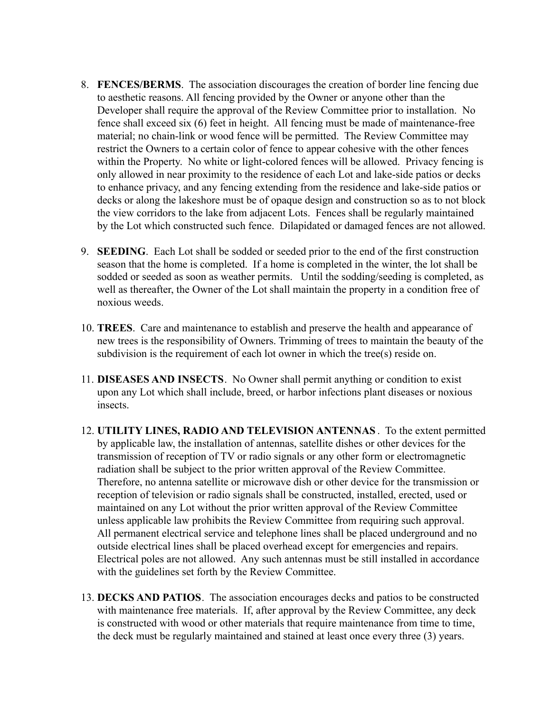- 8. **FENCES/BERMS**. The association discourages the creation of border line fencing due to aesthetic reasons. All fencing provided by the Owner or anyone other than the Developer shall require the approval of the Review Committee prior to installation. No fence shall exceed six (6) feet in height. All fencing must be made of maintenance-free material; no chain-link or wood fence will be permitted. The Review Committee may restrict the Owners to a certain color of fence to appear cohesive with the other fences within the Property. No white or light-colored fences will be allowed. Privacy fencing is only allowed in near proximity to the residence of each Lot and lake-side patios or decks to enhance privacy, and any fencing extending from the residence and lake-side patios or decks or along the lakeshore must be of opaque design and construction so as to not block the view corridors to the lake from adjacent Lots. Fences shall be regularly maintained by the Lot which constructed such fence. Dilapidated or damaged fences are not allowed.
- 9. **SEEDING**. Each Lot shall be sodded or seeded prior to the end of the first construction season that the home is completed. If a home is completed in the winter, the lot shall be sodded or seeded as soon as weather permits. Until the sodding/seeding is completed, as well as thereafter, the Owner of the Lot shall maintain the property in a condition free of noxious weeds.
- 10. **TREES**. Care and maintenance to establish and preserve the health and appearance of new trees is the responsibility of Owners. Trimming of trees to maintain the beauty of the subdivision is the requirement of each lot owner in which the tree(s) reside on.
- 11. **DISEASES AND INSECTS**. No Owner shall permit anything or condition to exist upon any Lot which shall include, breed, or harbor infections plant diseases or noxious insects.
- 12. **UTILITY LINES, RADIO AND TELEVISION ANTENNAS** . To the extent permitted by applicable law, the installation of antennas, satellite dishes or other devices for the transmission of reception of TV or radio signals or any other form or electromagnetic radiation shall be subject to the prior written approval of the Review Committee. Therefore, no antenna satellite or microwave dish or other device for the transmission or reception of television or radio signals shall be constructed, installed, erected, used or maintained on any Lot without the prior written approval of the Review Committee unless applicable law prohibits the Review Committee from requiring such approval. All permanent electrical service and telephone lines shall be placed underground and no outside electrical lines shall be placed overhead except for emergencies and repairs. Electrical poles are not allowed. Any such antennas must be still installed in accordance with the guidelines set forth by the Review Committee.
- 13. **DECKS AND PATIOS**. The association encourages decks and patios to be constructed with maintenance free materials. If, after approval by the Review Committee, any deck is constructed with wood or other materials that require maintenance from time to time, the deck must be regularly maintained and stained at least once every three (3) years.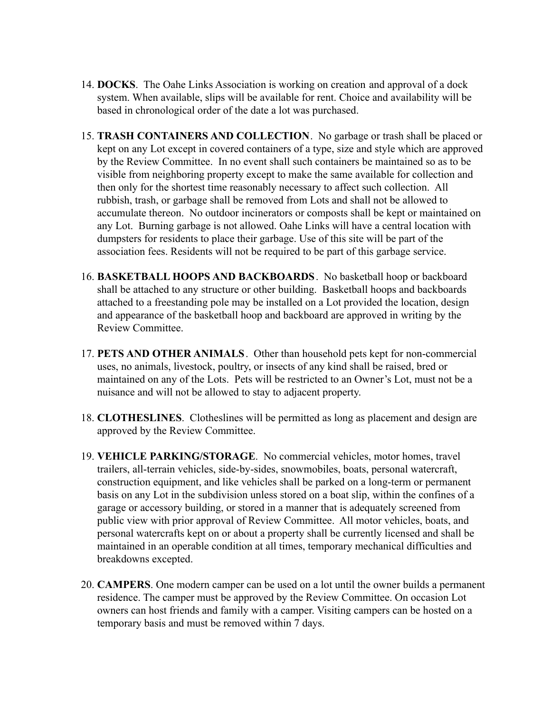- 14. **DOCKS**. The Oahe Links Association is working on creation and approval of a dock system. When available, slips will be available for rent. Choice and availability will be based in chronological order of the date a lot was purchased.
- 15. **TRASH CONTAINERS AND COLLECTION**. No garbage or trash shall be placed or kept on any Lot except in covered containers of a type, size and style which are approved by the Review Committee. In no event shall such containers be maintained so as to be visible from neighboring property except to make the same available for collection and then only for the shortest time reasonably necessary to affect such collection. All rubbish, trash, or garbage shall be removed from Lots and shall not be allowed to accumulate thereon. No outdoor incinerators or composts shall be kept or maintained on any Lot. Burning garbage is not allowed. Oahe Links will have a central location with dumpsters for residents to place their garbage. Use of this site will be part of the association fees. Residents will not be required to be part of this garbage service.
- 16. **BASKETBALL HOOPS AND BACKBOARDS**. No basketball hoop or backboard shall be attached to any structure or other building. Basketball hoops and backboards attached to a freestanding pole may be installed on a Lot provided the location, design and appearance of the basketball hoop and backboard are approved in writing by the Review Committee.
- 17. **PETS AND OTHER ANIMALS**. Other than household pets kept for non-commercial uses, no animals, livestock, poultry, or insects of any kind shall be raised, bred or maintained on any of the Lots. Pets will be restricted to an Owner's Lot, must not be a nuisance and will not be allowed to stay to adjacent property.
- 18. **CLOTHESLINES**. Clotheslines will be permitted as long as placement and design are approved by the Review Committee.
- 19. **VEHICLE PARKING/STORAGE**. No commercial vehicles, motor homes, travel trailers, all-terrain vehicles, side-by-sides, snowmobiles, boats, personal watercraft, construction equipment, and like vehicles shall be parked on a long-term or permanent basis on any Lot in the subdivision unless stored on a boat slip, within the confines of a garage or accessory building, or stored in a manner that is adequately screened from public view with prior approval of Review Committee. All motor vehicles, boats, and personal watercrafts kept on or about a property shall be currently licensed and shall be maintained in an operable condition at all times, temporary mechanical difficulties and breakdowns excepted.
- 20. **CAMPERS**. One modern camper can be used on a lot until the owner builds a permanent residence. The camper must be approved by the Review Committee. On occasion Lot owners can host friends and family with a camper. Visiting campers can be hosted on a temporary basis and must be removed within 7 days.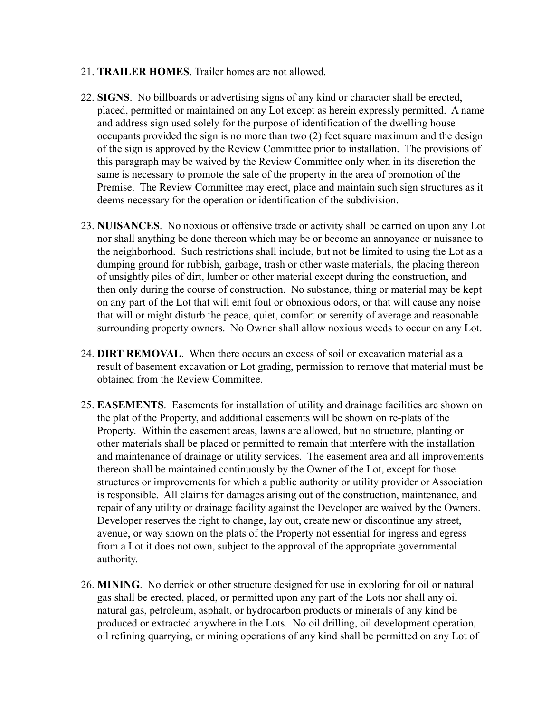### 21. **TRAILER HOMES**. Trailer homes are not allowed.

- 22. **SIGNS**. No billboards or advertising signs of any kind or character shall be erected, placed, permitted or maintained on any Lot except as herein expressly permitted. A name and address sign used solely for the purpose of identification of the dwelling house occupants provided the sign is no more than two (2) feet square maximum and the design of the sign is approved by the Review Committee prior to installation. The provisions of this paragraph may be waived by the Review Committee only when in its discretion the same is necessary to promote the sale of the property in the area of promotion of the Premise. The Review Committee may erect, place and maintain such sign structures as it deems necessary for the operation or identification of the subdivision.
- 23. **NUISANCES**. No noxious or offensive trade or activity shall be carried on upon any Lot nor shall anything be done thereon which may be or become an annoyance or nuisance to the neighborhood. Such restrictions shall include, but not be limited to using the Lot as a dumping ground for rubbish, garbage, trash or other waste materials, the placing thereon of unsightly piles of dirt, lumber or other material except during the construction, and then only during the course of construction. No substance, thing or material may be kept on any part of the Lot that will emit foul or obnoxious odors, or that will cause any noise that will or might disturb the peace, quiet, comfort or serenity of average and reasonable surrounding property owners. No Owner shall allow noxious weeds to occur on any Lot.
- 24. **DIRT REMOVAL**. When there occurs an excess of soil or excavation material as a result of basement excavation or Lot grading, permission to remove that material must be obtained from the Review Committee.
- 25. **EASEMENTS**. Easements for installation of utility and drainage facilities are shown on the plat of the Property, and additional easements will be shown on re-plats of the Property. Within the easement areas, lawns are allowed, but no structure, planting or other materials shall be placed or permitted to remain that interfere with the installation and maintenance of drainage or utility services. The easement area and all improvements thereon shall be maintained continuously by the Owner of the Lot, except for those structures or improvements for which a public authority or utility provider or Association is responsible. All claims for damages arising out of the construction, maintenance, and repair of any utility or drainage facility against the Developer are waived by the Owners. Developer reserves the right to change, lay out, create new or discontinue any street, avenue, or way shown on the plats of the Property not essential for ingress and egress from a Lot it does not own, subject to the approval of the appropriate governmental authority.
- 26. **MINING**. No derrick or other structure designed for use in exploring for oil or natural gas shall be erected, placed, or permitted upon any part of the Lots nor shall any oil natural gas, petroleum, asphalt, or hydrocarbon products or minerals of any kind be produced or extracted anywhere in the Lots. No oil drilling, oil development operation, oil refining quarrying, or mining operations of any kind shall be permitted on any Lot of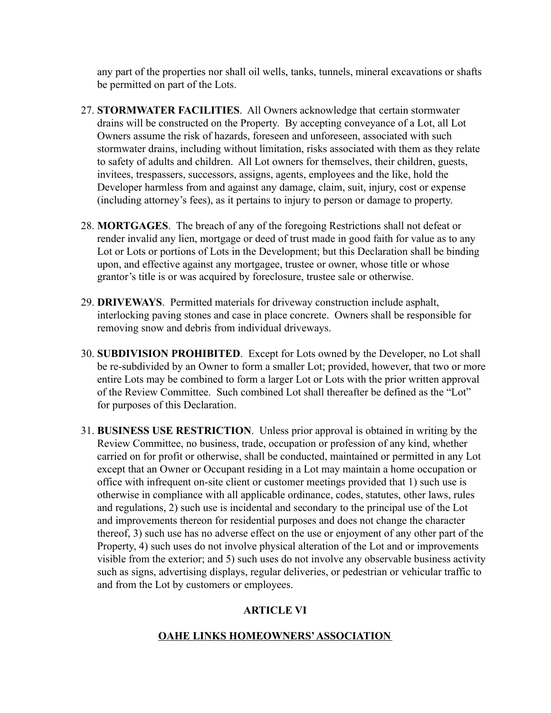any part of the properties nor shall oil wells, tanks, tunnels, mineral excavations or shafts be permitted on part of the Lots.

- 27. **STORMWATER FACILITIES**. All Owners acknowledge that certain stormwater drains will be constructed on the Property. By accepting conveyance of a Lot, all Lot Owners assume the risk of hazards, foreseen and unforeseen, associated with such stormwater drains, including without limitation, risks associated with them as they relate to safety of adults and children. All Lot owners for themselves, their children, guests, invitees, trespassers, successors, assigns, agents, employees and the like, hold the Developer harmless from and against any damage, claim, suit, injury, cost or expense (including attorney's fees), as it pertains to injury to person or damage to property.
- 28. **MORTGAGES**. The breach of any of the foregoing Restrictions shall not defeat or render invalid any lien, mortgage or deed of trust made in good faith for value as to any Lot or Lots or portions of Lots in the Development; but this Declaration shall be binding upon, and effective against any mortgagee, trustee or owner, whose title or whose grantor's title is or was acquired by foreclosure, trustee sale or otherwise.
- 29. **DRIVEWAYS**. Permitted materials for driveway construction include asphalt, interlocking paving stones and case in place concrete. Owners shall be responsible for removing snow and debris from individual driveways.
- 30. **SUBDIVISION PROHIBITED**. Except for Lots owned by the Developer, no Lot shall be re-subdivided by an Owner to form a smaller Lot; provided, however, that two or more entire Lots may be combined to form a larger Lot or Lots with the prior written approval of the Review Committee. Such combined Lot shall thereafter be defined as the "Lot" for purposes of this Declaration.
- 31. **BUSINESS USE RESTRICTION**. Unless prior approval is obtained in writing by the Review Committee, no business, trade, occupation or profession of any kind, whether carried on for profit or otherwise, shall be conducted, maintained or permitted in any Lot except that an Owner or Occupant residing in a Lot may maintain a home occupation or office with infrequent on-site client or customer meetings provided that 1) such use is otherwise in compliance with all applicable ordinance, codes, statutes, other laws, rules and regulations, 2) such use is incidental and secondary to the principal use of the Lot and improvements thereon for residential purposes and does not change the character thereof, 3) such use has no adverse effect on the use or enjoyment of any other part of the Property, 4) such uses do not involve physical alteration of the Lot and or improvements visible from the exterior; and 5) such uses do not involve any observable business activity such as signs, advertising displays, regular deliveries, or pedestrian or vehicular traffic to and from the Lot by customers or employees.

# **ARTICLE VI**

## **OAHE LINKS HOMEOWNERS'ASSOCIATION**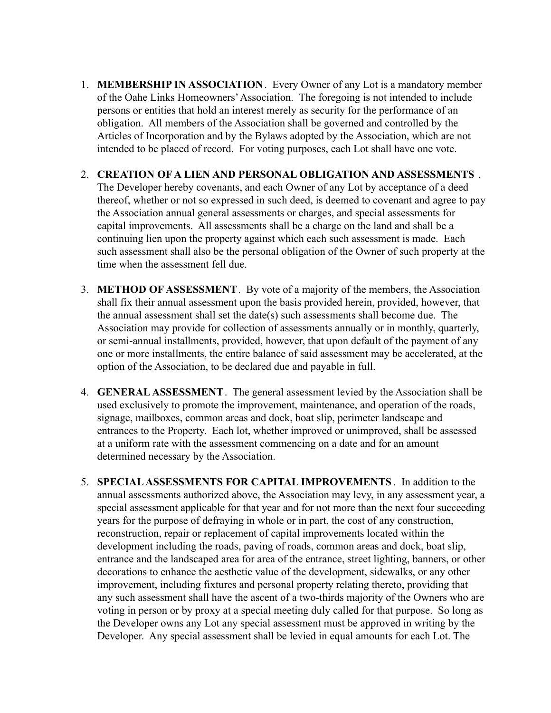1. **MEMBERSHIP IN ASSOCIATION**. Every Owner of any Lot is a mandatory member of the Oahe Links Homeowners'Association. The foregoing is not intended to include persons or entities that hold an interest merely as security for the performance of an obligation. All members of the Association shall be governed and controlled by the Articles of Incorporation and by the Bylaws adopted by the Association, which are not intended to be placed of record. For voting purposes, each Lot shall have one vote.

### 2. **CREATION OF A LIEN AND PERSONAL OBLIGATION AND ASSESSMENTS** .

The Developer hereby covenants, and each Owner of any Lot by acceptance of a deed thereof, whether or not so expressed in such deed, is deemed to covenant and agree to pay the Association annual general assessments or charges, and special assessments for capital improvements. All assessments shall be a charge on the land and shall be a continuing lien upon the property against which each such assessment is made. Each such assessment shall also be the personal obligation of the Owner of such property at the time when the assessment fell due.

- 3. **METHOD OF ASSESSMENT**. By vote of a majority of the members, the Association shall fix their annual assessment upon the basis provided herein, provided, however, that the annual assessment shall set the date(s) such assessments shall become due. The Association may provide for collection of assessments annually or in monthly, quarterly, or semi-annual installments, provided, however, that upon default of the payment of any one or more installments, the entire balance of said assessment may be accelerated, at the option of the Association, to be declared due and payable in full.
- 4. **GENERALASSESSMENT**. The general assessment levied by the Association shall be used exclusively to promote the improvement, maintenance, and operation of the roads, signage, mailboxes, common areas and dock, boat slip, perimeter landscape and entrances to the Property. Each lot, whether improved or unimproved, shall be assessed at a uniform rate with the assessment commencing on a date and for an amount determined necessary by the Association.
- 5. **SPECIALASSESSMENTS FOR CAPITAL IMPROVEMENTS** . In addition to the annual assessments authorized above, the Association may levy, in any assessment year, a special assessment applicable for that year and for not more than the next four succeeding years for the purpose of defraying in whole or in part, the cost of any construction, reconstruction, repair or replacement of capital improvements located within the development including the roads, paving of roads, common areas and dock, boat slip, entrance and the landscaped area for area of the entrance, street lighting, banners, or other decorations to enhance the aesthetic value of the development, sidewalks, or any other improvement, including fixtures and personal property relating thereto, providing that any such assessment shall have the ascent of a two-thirds majority of the Owners who are voting in person or by proxy at a special meeting duly called for that purpose. So long as the Developer owns any Lot any special assessment must be approved in writing by the Developer. Any special assessment shall be levied in equal amounts for each Lot. The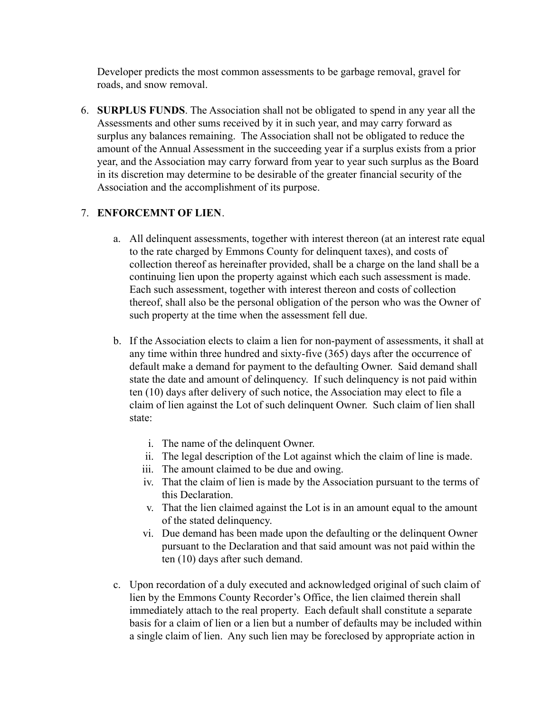Developer predicts the most common assessments to be garbage removal, gravel for roads, and snow removal.

6. **SURPLUS FUNDS**. The Association shall not be obligated to spend in any year all the Assessments and other sums received by it in such year, and may carry forward as surplus any balances remaining. The Association shall not be obligated to reduce the amount of the Annual Assessment in the succeeding year if a surplus exists from a prior year, and the Association may carry forward from year to year such surplus as the Board in its discretion may determine to be desirable of the greater financial security of the Association and the accomplishment of its purpose.

## 7. **ENFORCEMNT OF LIEN**.

- a. All delinquent assessments, together with interest thereon (at an interest rate equal to the rate charged by Emmons County for delinquent taxes), and costs of collection thereof as hereinafter provided, shall be a charge on the land shall be a continuing lien upon the property against which each such assessment is made. Each such assessment, together with interest thereon and costs of collection thereof, shall also be the personal obligation of the person who was the Owner of such property at the time when the assessment fell due.
- b. If the Association elects to claim a lien for non-payment of assessments, it shall at any time within three hundred and sixty-five (365) days after the occurrence of default make a demand for payment to the defaulting Owner. Said demand shall state the date and amount of delinquency. If such delinquency is not paid within ten (10) days after delivery of such notice, the Association may elect to file a claim of lien against the Lot of such delinquent Owner. Such claim of lien shall state:
	- i. The name of the delinquent Owner.
	- ii. The legal description of the Lot against which the claim of line is made.
	- iii. The amount claimed to be due and owing.
	- iv. That the claim of lien is made by the Association pursuant to the terms of this Declaration.
	- v. That the lien claimed against the Lot is in an amount equal to the amount of the stated delinquency.
	- vi. Due demand has been made upon the defaulting or the delinquent Owner pursuant to the Declaration and that said amount was not paid within the ten (10) days after such demand.
- c. Upon recordation of a duly executed and acknowledged original of such claim of lien by the Emmons County Recorder's Office, the lien claimed therein shall immediately attach to the real property. Each default shall constitute a separate basis for a claim of lien or a lien but a number of defaults may be included within a single claim of lien. Any such lien may be foreclosed by appropriate action in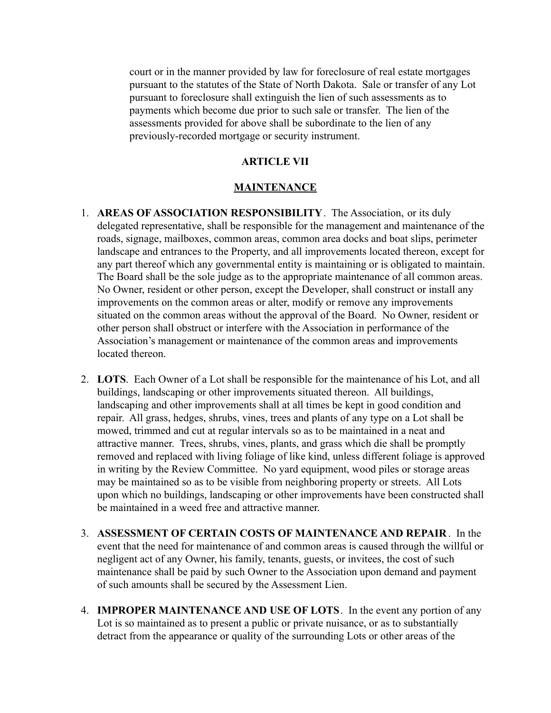court or in the manner provided by law for foreclosure of real estate mortgages pursuant to the statutes of the State of North Dakota. Sale or transfer of any Lot pursuant to foreclosure shall extinguish the lien of such assessments as to payments which become due prior to such sale or transfer. The lien of the assessments provided for above shall be subordinate to the lien of any previously-recorded mortgage or security instrument.

#### **ARTICLE VII**

#### **MAINTENANCE**

- 1. **AREAS OF ASSOCIATION RESPONSIBILITY**. The Association, or its duly delegated representative, shall be responsible for the management and maintenance of the roads, signage, mailboxes, common areas, common area docks and boat slips, perimeter landscape and entrances to the Property, and all improvements located thereon, except for any part thereof which any governmental entity is maintaining or is obligated to maintain. The Board shall be the sole judge as to the appropriate maintenance of all common areas. No Owner, resident or other person, except the Developer, shall construct or install any improvements on the common areas or alter, modify or remove any improvements situated on the common areas without the approval of the Board. No Owner, resident or other person shall obstruct or interfere with the Association in performance of the Association's management or maintenance of the common areas and improvements located thereon.
- 2. **LOTS**. Each Owner of a Lot shall be responsible for the maintenance of his Lot, and all buildings, landscaping or other improvements situated thereon. All buildings, landscaping and other improvements shall at all times be kept in good condition and repair. All grass, hedges, shrubs, vines, trees and plants of any type on a Lot shall be mowed, trimmed and cut at regular intervals so as to be maintained in a neat and attractive manner. Trees, shrubs, vines, plants, and grass which die shall be promptly removed and replaced with living foliage of like kind, unless different foliage is approved in writing by the Review Committee. No yard equipment, wood piles or storage areas may be maintained so as to be visible from neighboring property or streets. All Lots upon which no buildings, landscaping or other improvements have been constructed shall be maintained in a weed free and attractive manner.
- 3. **ASSESSMENT OF CERTAIN COSTS OF MAINTENANCE AND REPAIR** . In the event that the need for maintenance of and common areas is caused through the willful or negligent act of any Owner, his family, tenants, guests, or invitees, the cost of such maintenance shall be paid by such Owner to the Association upon demand and payment of such amounts shall be secured by the Assessment Lien.
- 4. **IMPROPER MAINTENANCE AND USE OF LOTS**. In the event any portion of any Lot is so maintained as to present a public or private nuisance, or as to substantially detract from the appearance or quality of the surrounding Lots or other areas of the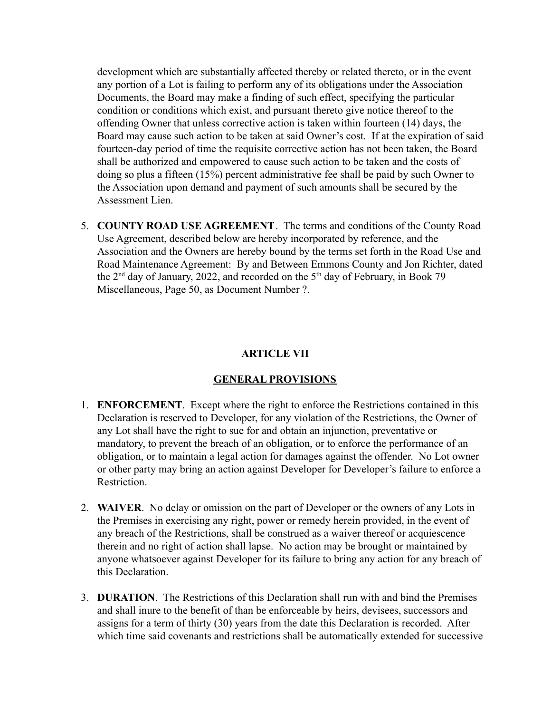development which are substantially affected thereby or related thereto, or in the event any portion of a Lot is failing to perform any of its obligations under the Association Documents, the Board may make a finding of such effect, specifying the particular condition or conditions which exist, and pursuant thereto give notice thereof to the offending Owner that unless corrective action is taken within fourteen (14) days, the Board may cause such action to be taken at said Owner's cost. If at the expiration of said fourteen-day period of time the requisite corrective action has not been taken, the Board shall be authorized and empowered to cause such action to be taken and the costs of doing so plus a fifteen (15%) percent administrative fee shall be paid by such Owner to the Association upon demand and payment of such amounts shall be secured by the Assessment Lien.

5. **COUNTY ROAD USE AGREEMENT**. The terms and conditions of the County Road Use Agreement, described below are hereby incorporated by reference, and the Association and the Owners are hereby bound by the terms set forth in the Road Use and Road Maintenance Agreement: By and Between Emmons County and Jon Richter, dated the  $2<sup>nd</sup>$  day of January, 2022, and recorded on the  $5<sup>th</sup>$  day of February, in Book 79 Miscellaneous, Page 50, as Document Number ?.

## **ARTICLE VII**

### **GENERAL PROVISIONS**

- 1. **ENFORCEMENT**. Except where the right to enforce the Restrictions contained in this Declaration is reserved to Developer, for any violation of the Restrictions, the Owner of any Lot shall have the right to sue for and obtain an injunction, preventative or mandatory, to prevent the breach of an obligation, or to enforce the performance of an obligation, or to maintain a legal action for damages against the offender. No Lot owner or other party may bring an action against Developer for Developer's failure to enforce a Restriction.
- 2. **WAIVER**. No delay or omission on the part of Developer or the owners of any Lots in the Premises in exercising any right, power or remedy herein provided, in the event of any breach of the Restrictions, shall be construed as a waiver thereof or acquiescence therein and no right of action shall lapse. No action may be brought or maintained by anyone whatsoever against Developer for its failure to bring any action for any breach of this Declaration.
- 3. **DURATION**. The Restrictions of this Declaration shall run with and bind the Premises and shall inure to the benefit of than be enforceable by heirs, devisees, successors and assigns for a term of thirty (30) years from the date this Declaration is recorded. After which time said covenants and restrictions shall be automatically extended for successive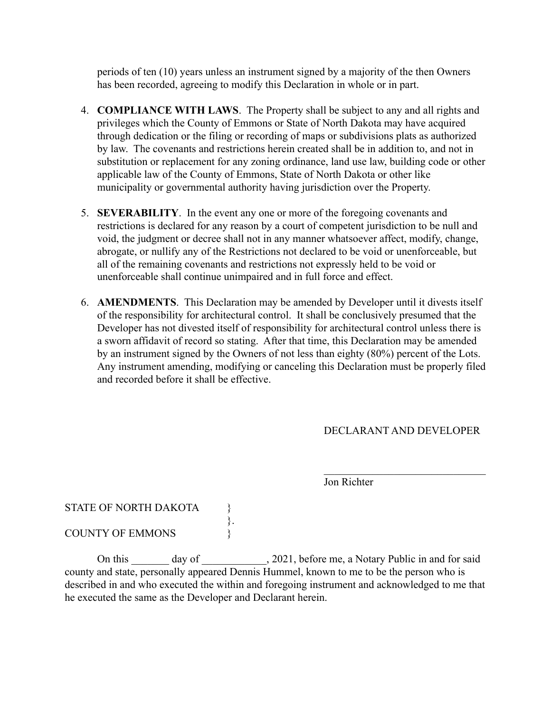periods of ten (10) years unless an instrument signed by a majority of the then Owners has been recorded, agreeing to modify this Declaration in whole or in part.

- 4. **COMPLIANCE WITH LAWS**. The Property shall be subject to any and all rights and privileges which the County of Emmons or State of North Dakota may have acquired through dedication or the filing or recording of maps or subdivisions plats as authorized by law. The covenants and restrictions herein created shall be in addition to, and not in substitution or replacement for any zoning ordinance, land use law, building code or other applicable law of the County of Emmons, State of North Dakota or other like municipality or governmental authority having jurisdiction over the Property.
- 5. **SEVERABILITY**. In the event any one or more of the foregoing covenants and restrictions is declared for any reason by a court of competent jurisdiction to be null and void, the judgment or decree shall not in any manner whatsoever affect, modify, change, abrogate, or nullify any of the Restrictions not declared to be void or unenforceable, but all of the remaining covenants and restrictions not expressly held to be void or unenforceable shall continue unimpaired and in full force and effect.
- 6. **AMENDMENTS**. This Declaration may be amended by Developer until it divests itself of the responsibility for architectural control. It shall be conclusively presumed that the Developer has not divested itself of responsibility for architectural control unless there is a sworn affidavit of record so stating. After that time, this Declaration may be amended by an instrument signed by the Owners of not less than eighty (80%) percent of the Lots. Any instrument amending, modifying or canceling this Declaration must be properly filed and recorded before it shall be effective.

# DECLARANT AND DEVELOPER

 $\mathcal{L}_\text{max}$ 

Jon Richter

STATE OF NORTH DAKOTA

COUNTY OF EMMONS

On this day of 2021, before me, a Notary Public in and for said county and state, personally appeared Dennis Hummel, known to me to be the person who is described in and who executed the within and foregoing instrument and acknowledged to me that he executed the same as the Developer and Declarant herein.

 $\begin{cases} . \\ . \end{cases}$